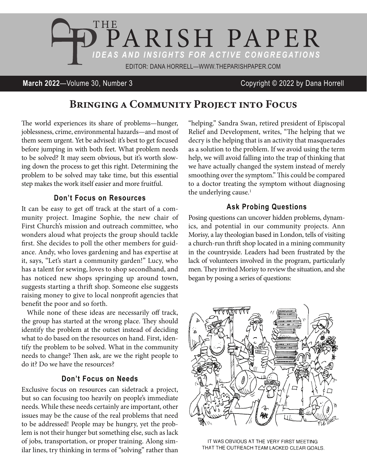

#### **March 2022**—Volume 30, Number 3 Copyright © 2022 by Dana Horrell

# Bringing a Community Project into Focus

The world experiences its share of problems—hunger, joblessness, crime, environmental hazards—and most of them seem urgent. Yet be advised: it's best to get focused before jumping in with both feet. What problem needs to be solved? It may seem obvious, but it's worth slowing down the process to get this right. Determining the problem to be solved may take time, but this essential step makes the work itself easier and more fruitful.

#### **Don't Focus on Resources**

It can be easy to get off track at the start of a community project. Imagine Sophie, the new chair of First Church's mission and outreach committee, who wonders aloud what projects the group should tackle first. She decides to poll the other members for guidance. Andy, who loves gardening and has expertise at it, says, "Let's start a community garden!" Lucy, who has a talent for sewing, loves to shop secondhand, and has noticed new shops springing up around town, suggests starting a thrift shop. Someone else suggests raising money to give to local nonprofit agencies that benefit the poor and so forth.

While none of these ideas are necessarily off track, the group has started at the wrong place. They should identify the problem at the outset instead of deciding what to do based on the resources on hand. First, identify the problem to be solved. What in the community needs to change? Then ask, are we the right people to do it? Do we have the resources?

#### **Don't Focus on Needs**

Exclusive focus on resources can sidetrack a project, but so can focusing too heavily on people's immediate needs. While these needs certainly are important, other issues may be the cause of the real problems that need to be addressed! People may be hungry, yet the problem is not their hunger but something else, such as lack of jobs, transportation, or proper training. Along similar lines, try thinking in terms of "solving" rather than

"helping." Sandra Swan, retired president of Episcopal Relief and Development, writes, "The helping that we decry is the helping that is an activity that masquerades as a solution to the problem. If we avoid using the term help, we will avoid falling into the trap of thinking that we have actually changed the system instead of merely smoothing over the symptom." This could be compared to a doctor treating the symptom without diagnosing the underlying cause.<sup>1</sup>

### **Ask Probing Questions**

Posing questions can uncover hidden problems, dynamics, and potential in our community projects. Ann Morisy, a lay theologian based in London, tells of visiting a church-run thrift shop located in a mining community in the countryside. Leaders had been frustrated by the lack of volunteers involved in the program, particularly men. They invited Morisy to review the situation, and she began by posing a series of questions:



IT WAS OBVIOUS AT THE VERY FIRST MEETING THAT THE OUTREACH TEAM LACKED CLEAR GOALS.